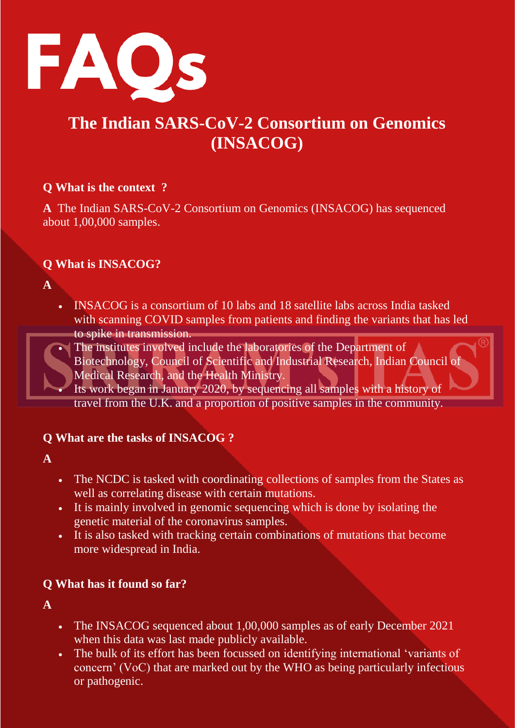

# **The Indian SARS-CoV-2 Consortium on Genomics (INSACOG)**

#### **Q What is the context ?**

**A** The Indian SARS-CoV-2 Consortium on Genomics (INSACOG) has sequenced about 1,00,000 samples.

#### **Q What is INSACOG?**

**A** 

- INSACOG is a consortium of 10 labs and 18 satellite labs across India tasked with scanning COVID samples from patients and finding the variants that has led to spike in transmission.
- The institutes involved include the laboratories of the Department of Biotechnology, Council of Scientific and Industrial Research, Indian Council of Medical Research, and the Health Ministry.
	- Its work began in January 2020, by sequencing all samples with a history of travel from the U.K. and a proportion of positive samples in the community.

## **Q What are the tasks of INSACOG ?**

**A** 

- The NCDC is tasked with coordinating collections of samples from the States as well as correlating disease with certain mutations.
- It is mainly involved in genomic sequencing which is done by isolating the genetic material of the coronavirus samples.
- It is also tasked with tracking certain combinations of mutations that become more widespread in India.

#### **Q What has it found so far?**

**A** 

- The INSACOG sequenced about 1,00,000 samples as of early December 2021 when this data was last made publicly available.
- The bulk of its effort has been focussed on identifying international 'variants of concern' (VoC) that are marked out by the WHO as being particularly infectious or pathogenic.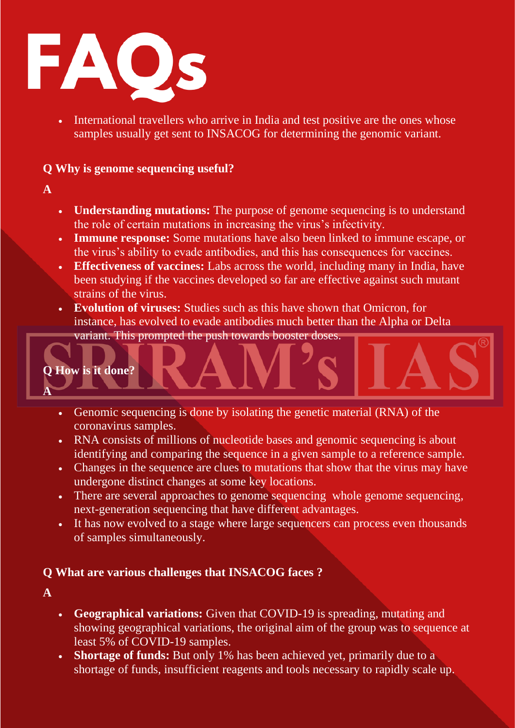

• International travellers who arrive in India and test positive are the ones whose samples usually get sent to INSACOG for determining the genomic variant.

#### **Q Why is genome sequencing useful?**

- **A**
- **Understanding mutations:** The purpose of genome sequencing is to understand the role of certain mutations in increasing the virus's infectivity.
- **Immune response:** Some mutations have also been linked to immune escape, or the virus's ability to evade antibodies, and this has consequences for vaccines.
- **Effectiveness of vaccines:** Labs across the world, including many in India, have been studying if the vaccines developed so far are effective against such mutant strains of the virus.
- **Evolution of viruses:** Studies such as this have shown that Omicron, for instance, has evolved to evade antibodies much better than the Alpha or Delta
	- variant. This prompted the push towards booster doses.

#### **Q How is it done?**

- Genomic sequencing is done by isolating the genetic material (RNA) of the coronavirus samples.
- RNA consists of millions of nucleotide bases and genomic sequencing is about identifying and comparing the sequence in a given sample to a reference sample.
- Changes in the sequence are clues to mutations that show that the virus may have undergone distinct changes at some key locations.
- There are several approaches to genome sequencing whole genome sequencing, next-generation sequencing that have different advantages.
- It has now evolved to a stage where large sequencers can process even thousands of samples simultaneously.

## **Q What are various challenges that INSACOG faces ?**

**A** 

**A** 

- **Geographical variations:** Given that COVID-19 is spreading, mutating and showing geographical variations, the original aim of the group was to sequence at least 5% of COVID-19 samples.
- **Shortage of funds:** But only 1% has been achieved yet, primarily due to a shortage of funds, insufficient reagents and tools necessary to rapidly scale up.